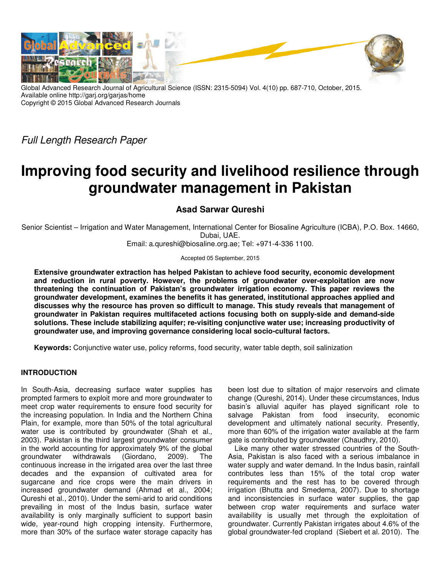

Global Advanced Research Journal of Agricultural Science (ISSN: 2315-5094) Vol. 4(10) pp. 687-710, October, 2015. Available online http://garj.org/garjas/home Copyright © 2015 Global Advanced Research Journals

Full Length Research Paper

# **Improving food security and livelihood resilience through groundwater management in Pakistan**

**Asad Sarwar Qureshi** 

Senior Scientist – Irrigation and Water Management, International Center for Biosaline Agriculture (ICBA), P.O. Box. 14660, Dubai, UAE.

Email: a.qureshi@biosaline.org.ae; Tel: +971-4-336 1100.

Accepted 05 September, 2015

**Extensive groundwater extraction has helped Pakistan to achieve food security, economic development and reduction in rural poverty. However, the problems of groundwater over-exploitation are now threatening the continuation of Pakistan's groundwater irrigation economy. This paper reviews the groundwater development, examines the benefits it has generated, institutional approaches applied and discusses why the resource has proven so difficult to manage. This study reveals that management of groundwater in Pakistan requires multifaceted actions focusing both on supply-side and demand-side solutions. These include stabilizing aquifer; re-visiting conjunctive water use; increasing productivity of groundwater use, and improving governance considering local socio-cultural factors.** 

**Keywords:** Conjunctive water use, policy reforms, food security, water table depth, soil salinization

## **INTRODUCTION**

In South-Asia, decreasing surface water supplies has prompted farmers to exploit more and more groundwater to meet crop water requirements to ensure food security for the increasing population. In India and the Northern China Plain, for example, more than 50% of the total agricultural water use is contributed by groundwater (Shah et al., 2003). Pakistan is the third largest groundwater consumer in the world accounting for approximately 9% of the global groundwater withdrawals (Giordano, 2009). The groundwater withdrawals (Giordano, 2009). The continuous increase in the irrigated area over the last three decades and the expansion of cultivated area for sugarcane and rice crops were the main drivers in increased groundwater demand (Ahmad et al., 2004; Qureshi et al., 2010). Under the semi-arid to arid conditions prevailing in most of the Indus basin, surface water availability is only marginally sufficient to support basin wide, year-round high cropping intensity. Furthermore, more than 30% of the surface water storage capacity has

been lost due to siltation of major reservoirs and climate change (Qureshi, 2014). Under these circumstances, Indus basin's alluvial aquifer has played significant role to salvage Pakistan from food insecurity, economic development and ultimately national security. Presently, more than 60% of the irrigation water available at the farm gate is contributed by groundwater (Chaudhry, 2010).

Like many other water stressed countries of the South-Asia, Pakistan is also faced with a serious imbalance in water supply and water demand. In the Indus basin, rainfall contributes less than 15% of the total crop water requirements and the rest has to be covered through irrigation (Bhutta and Smedema, 2007). Due to shortage and inconsistencies in surface water supplies, the gap between crop water requirements and surface water availability is usually met through the exploitation of groundwater. Currently Pakistan irrigates about 4.6% of the global groundwater-fed cropland (Siebert et al. 2010). The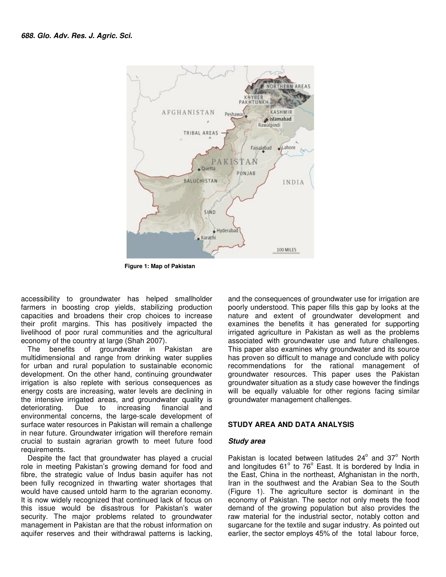

 **Figure 1: Map of Pakistan** 

accessibility to groundwater has helped smallholder farmers in boosting crop yields, stabilizing production capacities and broadens their crop choices to increase their profit margins. This has positively impacted the livelihood of poor rural communities and the agricultural economy of the country at large (Shah 2007).

The benefits of groundwater in Pakistan are multidimensional and range from drinking water supplies for urban and rural population to sustainable economic development. On the other hand, continuing groundwater irrigation is also replete with serious consequences as energy costs are increasing, water levels are declining in the intensive irrigated areas, and groundwater quality is deteriorating. Due to increasing financial and environmental concerns, the large-scale development of surface water resources in Pakistan will remain a challenge in near future. Groundwater irrigation will therefore remain crucial to sustain agrarian growth to meet future food requirements.

Despite the fact that groundwater has played a crucial role in meeting Pakistan's growing demand for food and fibre, the strategic value of Indus basin aquifer has not been fully recognized in thwarting water shortages that would have caused untold harm to the agrarian economy. It is now widely recognized that continued lack of focus on this issue would be disastrous for Pakistan's water security. The major problems related to groundwater management in Pakistan are that the robust information on aquifer reserves and their withdrawal patterns is lacking,

and the consequences of groundwater use for irrigation are poorly understood. This paper fills this gap by looks at the nature and extent of groundwater development and examines the benefits it has generated for supporting irrigated agriculture in Pakistan as well as the problems associated with groundwater use and future challenges. This paper also examines why groundwater and its source has proven so difficult to manage and conclude with policy recommendations for the rational management of groundwater resources. This paper uses the Pakistan groundwater situation as a study case however the findings will be equally valuable for other regions facing similar groundwater management challenges.

## **STUDY AREA AND DATA ANALYSIS**

### **Study area**

Pakistan is located between latitudes  $24^{\circ}$  and  $37^{\circ}$  North and longitudes 61° to 76° East. It is bordered by India in the East, China in the northeast, Afghanistan in the north, Iran in the southwest and the Arabian Sea to the South (Figure 1). The agriculture sector is dominant in the economy of Pakistan. The sector not only meets the food demand of the growing population but also provides the raw material for the industrial sector, notably cotton and sugarcane for the textile and sugar industry. As pointed out earlier, the sector employs 45% of the total labour force,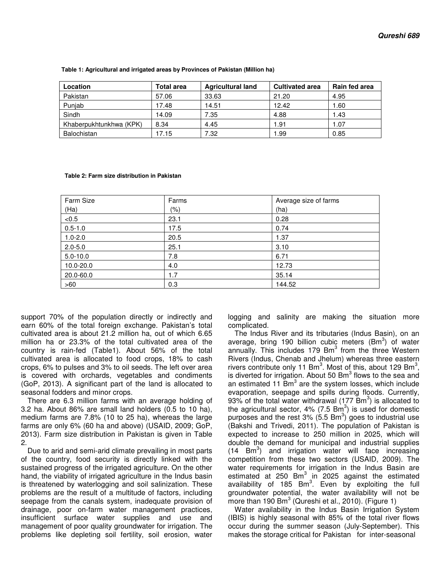| Location                | <b>Total area</b> | <b>Agricultural land</b> | <b>Cultivated area</b> | Rain fed area |
|-------------------------|-------------------|--------------------------|------------------------|---------------|
| Pakistan                | 57.06             | 33.63                    | 21.20                  | 4.95          |
| Punjab                  | 17.48             | 14.51                    | 12.42                  | 1.60          |
| Sindh                   | 14.09             | 7.35                     | 4.88                   | 1.43          |
| Khaberpukhtunkhwa (KPK) | 8.34              | 4.45                     | 1.91                   | 1.07          |
| Balochistan             | 17.15             | 7.32                     | 1.99                   | 0.85          |

 **Table 1: Agricultural and irrigated areas by Provinces of Pakistan (Million ha)** 

 **Table 2: Farm size distribution in Pakistan** 

| <b>Farm Size</b> | Farms | Average size of farms |
|------------------|-------|-----------------------|
| (Ha)             | (% )  | (ha)                  |
| < 0.5            | 23.1  | 0.28                  |
| $0.5 - 1.0$      | 17.5  | 0.74                  |
| $1.0 - 2.0$      | 20.5  | 1.37                  |
| $2.0 - 5.0$      | 25.1  | 3.10                  |
| $5.0 - 10.0$     | 7.8   | 6.71                  |
| 10.0-20.0        | 4.0   | 12.73                 |
| 20.0-60.0        | 1.7   | 35.14                 |
| >60              | 0.3   | 144.52                |

support 70% of the population directly or indirectly and earn 60% of the total foreign exchange. Pakistan's total cultivated area is about 21.2 million ha, out of which 6.65 million ha or 23.3% of the total cultivated area of the country is rain-fed (Table1). About 56% of the total cultivated area is allocated to food crops, 18% to cash crops, 6% to pulses and 3% to oil seeds. The left over area is covered with orchards, vegetables and condiments (GoP, 2013). A significant part of the land is allocated to seasonal fodders and minor crops.

There are 6.3 million farms with an average holding of 3.2 ha. About 86% are small land holders (0.5 to 10 ha), medium farms are 7.8% (10 to 25 ha), whereas the large farms are only 6% (60 ha and above) (USAID, 2009; GoP, 2013). Farm size distribution in Pakistan is given in Table 2.

Due to arid and semi-arid climate prevailing in most parts of the country, food security is directly linked with the sustained progress of the irrigated agriculture. On the other hand, the viability of irrigated agriculture in the Indus basin is threatened by waterlogging and soil salinization. These problems are the result of a multitude of factors, including seepage from the canals system, inadequate provision of drainage, poor on-farm water management practices, insufficient surface water supplies and use and management of poor quality groundwater for irrigation. The problems like depleting soil fertility, soil erosion, water logging and salinity are making the situation more complicated.

The Indus River and its tributaries (Indus Basin), on an average, bring 190 billion cubic meters  $(Bm^3)$  of water annually. This includes 179 Bm<sup>3</sup> from the three Western Rivers (Indus, Chenab and Jhelum) whereas three eastern rivers contribute only 11 Bm<sup>3</sup>. Most of this, about 129 Bm<sup>3</sup>, is diverted for irrigation. About 50  $\texttt{Bm}^3$  flows to the sea and an estimated 11 Bm<sup>3</sup> are the system losses, which include evaporation, seepage and spills during floods. Currently, 93% of the total water withdrawal (177  $\texttt{Bm}^{3}$ ) is allocated to the agricultural sector, 4% (7.5  $\text{Bm}^3$ ) is used for domestic purposes and the rest 3% (5.5 Bm<sup>3</sup>) goes to industrial use (Bakshi and Trivedi, 2011). The population of Pakistan is expected to increase to 250 million in 2025, which will double the demand for municipal and industrial supplies  $(14$  Bm<sup>3</sup>) and irrigation water will face increasing competition from these two sectors (USAID, 2009). The water requirements for irrigation in the Indus Basin are estimated at 250 Bm $^3$  in 2025 against the estimated availability of 185  $\textsf{Bm}^3$ . Even by exploiting the full groundwater potential, the water availability will not be more than 190 Bm $^3$  (Qureshi et al., 2010). (Figure 1)

Water availability in the Indus Basin Irrigation System (IBIS) is highly seasonal with 85% of the total river flows occur during the summer season (July-September). This makes the storage critical for Pakistan for inter-seasonal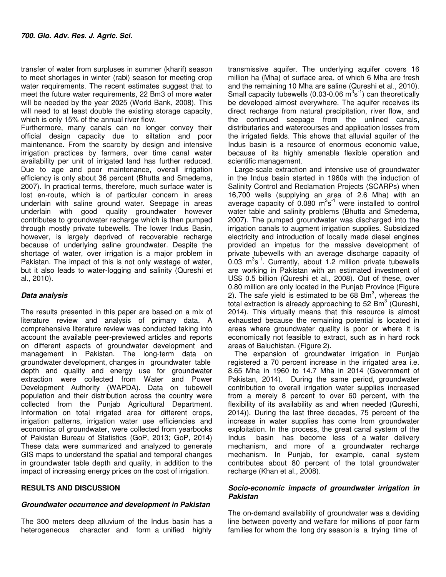transfer of water from surpluses in summer (kharif) season to meet shortages in winter (rabi) season for meeting crop water requirements. The recent estimates suggest that to meet the future water requirements, 22 Bm3 of more water will be needed by the year 2025 (World Bank, 2008). This will need to at least double the existing storage capacity, which is only 15% of the annual river flow.

Furthermore, many canals can no longer convey their official design capacity due to siltation and poor maintenance. From the scarcity by design and intensive irrigation practices by farmers, over time canal water availability per unit of irrigated land has further reduced. Due to age and poor maintenance, overall irrigation efficiency is only about 36 percent (Bhutta and Smedema, 2007). In practical terms, therefore, much surface water is lost en-route, which is of particular concern in areas underlain with saline ground water. Seepage in areas underlain with good quality groundwater however contributes to groundwater recharge which is then pumped through mostly private tubewells. The lower Indus Basin, however, is largely deprived of recoverable recharge because of underlying saline groundwater. Despite the shortage of water, over irrigation is a major problem in Pakistan. The impact of this is not only wastage of water, but it also leads to water-logging and salinity (Qureshi et al., 2010).

## **Data analysis**

The results presented in this paper are based on a mix of literature review and analysis of primary data. A comprehensive literature review was conducted taking into account the available peer-previewed articles and reports on different aspects of groundwater development and management in Pakistan. The long-term data on groundwater development, changes in groundwater table depth and quality and energy use for groundwater extraction were collected from Water and Power Development Authority (WAPDA). Data on tubewell population and their distribution across the country were collected from the Punjab Agricultural Department. Information on total irrigated area for different crops, irrigation patterns, irrigation water use efficiencies and economics of groundwater, were collected from yearbooks of Pakistan Bureau of Statistics (GoP, 2013; GoP, 2014) These data were summarized and analyzed to generate GIS maps to understand the spatial and temporal changes in groundwater table depth and quality, in addition to the impact of increasing energy prices on the cost of irrigation.

## **RESULTS AND DISCUSSION**

## **Groundwater occurrence and development in Pakistan**

The 300 meters deep alluvium of the Indus basin has a heterogeneous character and form a unified highly

transmissive aquifer. The underlying aquifer covers 16 million ha (Mha) of surface area, of which 6 Mha are fresh and the remaining 10 Mha are saline (Qureshi et al., 2010). Small capacity tubewells (0.03-0.06  $\mathrm{m}^3\mathrm{s}^{-1}$ ) can theoretically be developed almost everywhere. The aquifer receives its direct recharge from natural precipitation, river flow, and the continued seepage from the unlined canals, distributaries and watercourses and application losses from the irrigated fields. This shows that alluvial aquifer of the Indus basin is a resource of enormous economic value, because of its highly amenable flexible operation and scientific management.

Large-scale extraction and intensive use of groundwater in the Indus basin started in 1960s with the induction of Salinity Control and Reclamation Projects (SCARPs) when 16,700 wells (supplying an area of 2.6 Mha) with an average capacity of  $0.080 \text{ m}^3\text{s}^{-1}$  were installed to control water table and salinity problems (Bhutta and Smedema, 2007). The pumped groundwater was discharged into the irrigation canals to augment irrigation supplies. Subsidized electricity and introduction of locally made diesel engines provided an impetus for the massive development of private tubewells with an average discharge capacity of  $0.03 \, \text{m}^3\text{s}^{-1}$ . Currently, about 1.2 million private tubewells are working in Pakistan with an estimated investment of US\$ 0.5 billion (Qureshi et al., 2008). Out of these, over 0.80 million are only located in the Punjab Province (Figure 2). The safe yield is estimated to be 68 Bm<sup>3</sup>, whereas the total extraction is already approaching to 52  $\textsf{Bm}^{3}$  (Qureshi, 2014). This virtually means that this resource is almost exhausted because the remaining potential is located in areas where groundwater quality is poor or where it is economically not feasible to extract, such as in hard rock areas of Baluchistan. (Figure 2).

The expansion of groundwater irrigation in Punjab registered a 70 percent increase in the irrigated area i.e. 8.65 Mha in 1960 to 14.7 Mha in 2014 (Government of Pakistan, 2014). During the same period, groundwater contribution to overall irrigation water supplies increased from a merely 8 percent to over 60 percent, with the flexibility of its availability as and when needed (Qureshi, 2014)). During the last three decades, 75 percent of the increase in water supplies has come from groundwater exploitation. In the process, the great canal system of the Indus basin has become less of a water delivery mechanism, and more of a groundwater recharge mechanism. In Punjab, for example, canal system contributes about 80 percent of the total groundwater recharge (Khan et al., 2008).

## **Socio-economic impacts of groundwater irrigation in Pakistan**

The on-demand availability of groundwater was a deviding line between poverty and welfare for millions of poor farm families for whom the long dry season is a trying time of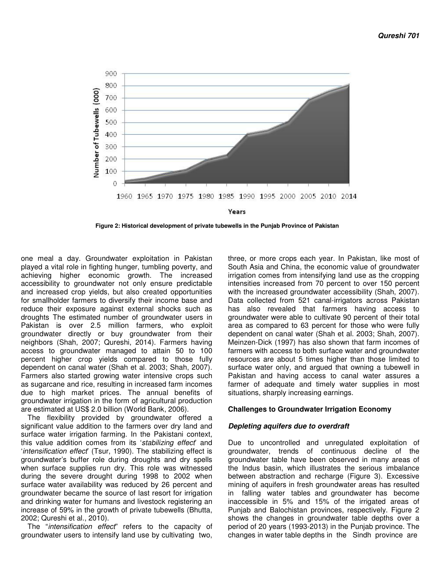

 **Figure 2: Historical development of private tubewells in the Punjab Province of Pakistan** 

one meal a day. Groundwater exploitation in Pakistan played a vital role in fighting hunger, tumbling poverty, and achieving higher economic growth. The increased accessibility to groundwater not only ensure predictable and increased crop yields, but also created opportunities for smallholder farmers to diversify their income base and reduce their exposure against external shocks such as droughts The estimated number of groundwater users in Pakistan is over 2.5 million farmers, who exploit groundwater directly or buy groundwater from their neighbors (Shah, 2007; Qureshi, 2014). Farmers having access to groundwater managed to attain 50 to 100 percent higher crop yields compared to those fully dependent on canal water (Shah et al. 2003; Shah, 2007). Farmers also started growing water intensive crops such as sugarcane and rice, resulting in increased farm incomes due to high market prices. The annual benefits of groundwater irrigation in the form of agricultural production are estimated at US\$ 2.0 billion (World Bank, 2006).

The flexibility provided by groundwater offered a significant value addition to the farmers over dry land and surface water irrigation farming. In the Pakistani context, this value addition comes from its 'stabilizing effect' and 'intensification effect' (Tsur, 1990). The stabilizing effect is groundwater's buffer role during droughts and dry spells when surface supplies run dry. This role was witnessed during the severe drought during 1998 to 2002 when surface water availability was reduced by 26 percent and groundwater became the source of last resort for irrigation and drinking water for humans and livestock registering an increase of 59% in the growth of private tubewells (Bhutta, 2002; Qureshi et al., 2010).

The "intensification effect" refers to the capacity of groundwater users to intensify land use by cultivating two, three, or more crops each year. In Pakistan, like most of South Asia and China, the economic value of groundwater irrigation comes from intensifying land use as the cropping intensities increased from 70 percent to over 150 percent with the increased groundwater accessibility (Shah, 2007). Data collected from 521 canal-irrigators across Pakistan has also revealed that farmers having access to groundwater were able to cultivate 90 percent of their total area as compared to 63 percent for those who were fully dependent on canal water (Shah et al. 2003; Shah, 2007). Meinzen-Dick (1997) has also shown that farm incomes of farmers with access to both surface water and groundwater resources are about 5 times higher than those limited to surface water only, and argued that owning a tubewell in Pakistan and having access to canal water assures a farmer of adequate and timely water supplies in most situations, sharply increasing earnings.

### **Challenges to Groundwater Irrigation Economy**

### **Depleting aquifers due to overdraft**

Due to uncontrolled and unregulated exploitation of groundwater, trends of continuous decline of the groundwater table have been observed in many areas of the Indus basin, which illustrates the serious imbalance between abstraction and recharge (Figure 3). Excessive mining of aquifers in fresh groundwater areas has resulted in falling water tables and groundwater has become inaccessible in 5% and 15% of the irrigated areas of Punjab and Balochistan provinces, respectively. Figure 2 shows the changes in groundwater table depths over a period of 20 years (1993-2013) in the Punjab province. The changes in water table depths in the Sindh province are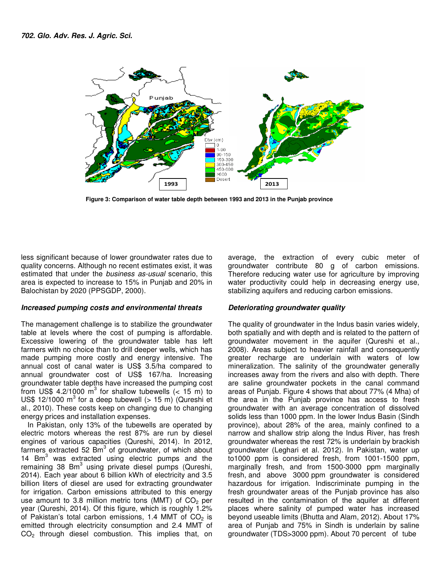

 **Figure 3: Comparison of water table depth between 1993 and 2013 in the Punjab province** 

less significant because of lower groundwater rates due to quality concerns. Although no recent estimates exist, it was estimated that under the business as-usual scenario, this area is expected to increase to 15% in Punjab and 20% in Balochistan by 2020 (PPSGDP, 2000).

#### **Increased pumping costs and environmental threats**

The management challenge is to stabilize the groundwater table at levels where the cost of pumping is affordable. Excessive lowering of the groundwater table has left farmers with no choice than to drill deeper wells, which has made pumping more costly and energy intensive. The annual cost of canal water is US\$ 3.5/ha compared to annual groundwater cost of US\$ 167/ha. Increasing groundwater table depths have increased the pumping cost from US\$ 4.2/1000  $m^3$  for shallow tubewells (< 15 m) to US\$ 12/1000  $m^3$  for a deep tubewell (> 15 m) (Qureshi et al., 2010). These costs keep on changing due to changing energy prices and installation expenses.

In Pakistan, only 13% of the tubewells are operated by electric motors whereas the rest 87% are run by diesel engines of various capacities (Qureshi, 2014). In 2012, farmers extracted 52 Bm<sup>3</sup> of groundwater, of which about 14 Bm<sup>3</sup> was extracted using electric pumps and the remaining 38 Bm<sup>3</sup> using private diesel pumps (Qureshi, 2014). Each year about 6 billion kWh of electricity and 3.5 billion liters of diesel are used for extracting groundwater for irrigation. Carbon emissions attributed to this energy use amount to 3.8 million metric tons (MMT) of  $CO<sub>2</sub>$  per year (Qureshi, 2014). Of this figure, which is roughly 1.2% of Pakistan's total carbon emissions, 1.4 MMT of  $CO<sub>2</sub>$  is emitted through electricity consumption and 2.4 MMT of CO2 through diesel combustion. This implies that, on

average, the extraction of every cubic meter of groundwater contribute 80 g of carbon emissions. Therefore reducing water use for agriculture by improving water productivity could help in decreasing energy use, stabilizing aquifers and reducing carbon emissions.

### **Deteriorating groundwater quality**

The quality of groundwater in the Indus basin varies widely, both spatially and with depth and is related to the pattern of groundwater movement in the aquifer (Qureshi et al., 2008). Areas subject to heavier rainfall and consequently greater recharge are underlain with waters of low mineralization. The salinity of the groundwater generally increases away from the rivers and also with depth. There are saline groundwater pockets in the canal command areas of Punjab. Figure 4 shows that about 77% (4 Mha) of the area in the Punjab province has access to fresh groundwater with an average concentration of dissolved solids less than 1000 ppm. In the lower Indus Basin (Sindh province), about 28% of the area, mainly confined to a narrow and shallow strip along the Indus River, has fresh groundwater whereas the rest 72% is underlain by brackish groundwater (Leghari et al. 2012). In Pakistan, water up to1000 ppm is considered fresh, from 1001-1500 ppm, marginally fresh, and from 1500-3000 ppm marginally fresh, and above 3000 ppm groundwater is considered hazardous for irrigation. Indiscriminate pumping in the fresh groundwater areas of the Punjab province has also resulted in the contamination of the aquifer at different places where salinity of pumped water has increased beyond useable limits (Bhutta and Alam, 2012). About 17% area of Punjab and 75% in Sindh is underlain by saline groundwater (TDS>3000 ppm). About 70 percent of tube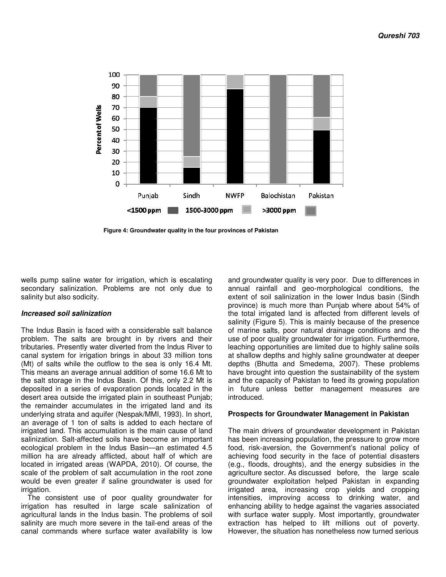

 **Figure 4: Groundwater quality in the four provinces of Pakistan** 

wells pump saline water for irrigation, which is escalating secondary salinization. Problems are not only due to salinity but also sodicity.

### **Increased soil salinization**

The Indus Basin is faced with a considerable salt balance problem. The salts are brought in by rivers and their tributaries. Presently water diverted from the Indus River to canal system for irrigation brings in about 33 million tons (Mt) of salts while the outflow to the sea is only 16.4 Mt. This means an average annual addition of some 16.6 Mt to the salt storage in the Indus Basin. Of this, only 2.2 Mt is deposited in a series of evaporation ponds located in the desert area outside the irrigated plain in southeast Punjab; the remainder accumulates in the irrigated land and its underlying strata and aquifer (Nespak/MMI, 1993). In short, an average of 1 ton of salts is added to each hectare of irrigated land. This accumulation is the main cause of land salinization. Salt-affected soils have become an important ecological problem in the Indus Basin—an estimated 4.5 million ha are already afflicted, about half of which are located in irrigated areas (WAPDA, 2010). Of course, the scale of the problem of salt accumulation in the root zone would be even greater if saline groundwater is used for irrigation.

The consistent use of poor quality groundwater for irrigation has resulted in large scale salinization of agricultural lands in the Indus basin. The problems of soil salinity are much more severe in the tail-end areas of the canal commands where surface water availability is low

and groundwater quality is very poor. Due to differences in annual rainfall and geo-morphological conditions, the extent of soil salinization in the lower Indus basin (Sindh province) is much more than Punjab where about 54% of the total irrigated land is affected from different levels of salinity (Figure 5). This is mainly because of the presence of marine salts, poor natural drainage conditions and the use of poor quality groundwater for irrigation. Furthermore, leaching opportunities are limited due to highly saline soils at shallow depths and highly saline groundwater at deeper depths (Bhutta and Smedema, 2007). These problems have brought into question the sustainability of the system and the capacity of Pakistan to feed its growing population in future unless better management measures are introduced.

#### **Prospects for Groundwater Management in Pakistan**

The main drivers of groundwater development in Pakistan has been increasing population, the pressure to grow more food, risk-aversion, the Government's national policy of achieving food security in the face of potential disasters (e.g., floods, droughts), and the energy subsidies in the agriculture sector. As discussed before, the large scale groundwater exploitation helped Pakistan in expanding irrigated area, increasing crop yields and cropping intensities, improving access to drinking water, and enhancing ability to hedge against the vagaries associated with surface water supply. Most importantly, groundwater extraction has helped to lift millions out of poverty. However, the situation has nonetheless now turned serious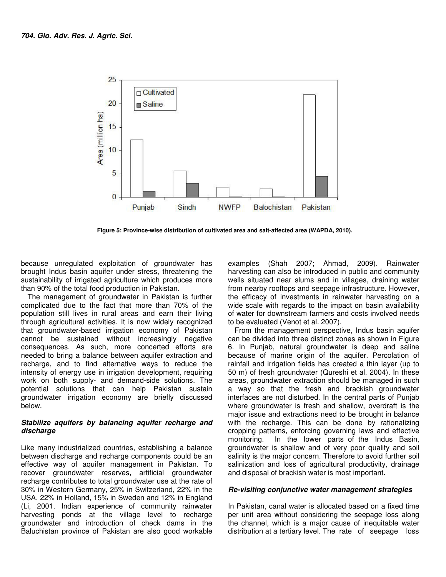

 **Figure 5: Province-wise distribution of cultivated area and salt-affected area (WAPDA, 2010).** 

because unregulated exploitation of groundwater has brought Indus basin aquifer under stress, threatening the sustainability of irrigated agriculture which produces more than 90% of the total food production in Pakistan.

The management of groundwater in Pakistan is further complicated due to the fact that more than 70% of the population still lives in rural areas and earn their living through agricultural activities. It is now widely recognized that groundwater-based irrigation economy of Pakistan cannot be sustained without increasingly negative consequences. As such, more concerted efforts are needed to bring a balance between aquifer extraction and recharge, and to find alternative ways to reduce the intensity of energy use in irrigation development, requiring work on both supply- and demand-side solutions. The potential solutions that can help Pakistan sustain groundwater irrigation economy are briefly discussed below.

### **Stabilize aquifers by balancing aquifer recharge and discharge**

Like many industrialized countries, establishing a balance between discharge and recharge components could be an effective way of aquifer management in Pakistan. To recover groundwater reserves, artificial groundwater recharge contributes to total groundwater use at the rate of 30% in Western Germany, 25% in Switzerland, 22% in the USA, 22% in Holland, 15% in Sweden and 12% in England (Li, 2001. Indian experience of community rainwater harvesting ponds at the village level to recharge groundwater and introduction of check dams in the Baluchistan province of Pakistan are also good workable

examples (Shah 2007; Ahmad, 2009). Rainwater harvesting can also be introduced in public and community wells situated near slums and in villages, draining water from nearby rooftops and seepage infrastructure. However, the efficacy of investments in rainwater harvesting on a wide scale with regards to the impact on basin availability of water for downstream farmers and costs involved needs to be evaluated (Venot et al. 2007).

From the management perspective, Indus basin aquifer can be divided into three distinct zones as shown in Figure 6. In Punjab, natural groundwater is deep and saline because of marine origin of the aquifer. Percolation of rainfall and irrigation fields has created a thin layer (up to 50 m) of fresh groundwater (Qureshi et al. 2004). In these areas, groundwater extraction should be managed in such a way so that the fresh and brackish groundwater interfaces are not disturbed. In the central parts of Punjab where groundwater is fresh and shallow, overdraft is the major issue and extractions need to be brought in balance with the recharge. This can be done by rationalizing cropping patterns, enforcing governing laws and effective monitoring. In the lower parts of the Indus Basin, groundwater is shallow and of very poor quality and soil salinity is the major concern. Therefore to avoid further soil salinization and loss of agricultural productivity, drainage and disposal of brackish water is most important.

### **Re-visiting conjunctive water management strategies**

In Pakistan, canal water is allocated based on a fixed time per unit area without considering the seepage loss along the channel, which is a major cause of inequitable water distribution at a tertiary level. The rate of seepage loss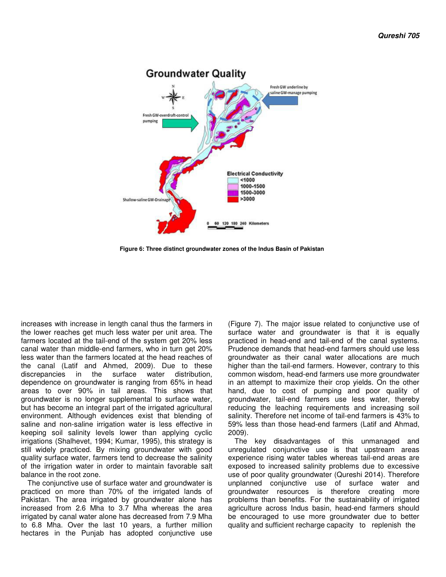

 **Figure 6: Three distinct groundwater zones of the Indus Basin of Pakistan** 

increases with increase in length canal thus the farmers in the lower reaches get much less water per unit area. The farmers located at the tail-end of the system get 20% less canal water than middle-end farmers, who in turn get 20% less water than the farmers located at the head reaches of the canal (Latif and Ahmed, 2009). Due to these discrepancies in the surface water distribution, dependence on groundwater is ranging from 65% in head areas to over 90% in tail areas. This shows that groundwater is no longer supplemental to surface water, but has become an integral part of the irrigated agricultural environment. Although evidences exist that blending of saline and non-saline irrigation water is less effective in keeping soil salinity levels lower than applying cyclic irrigations (Shalhevet, 1994; Kumar, 1995), this strategy is still widely practiced. By mixing groundwater with good quality surface water, farmers tend to decrease the salinity of the irrigation water in order to maintain favorable salt balance in the root zone.

The conjunctive use of surface water and groundwater is practiced on more than 70% of the irrigated lands of Pakistan. The area irrigated by groundwater alone has increased from 2.6 Mha to 3.7 Mha whereas the area irrigated by canal water alone has decreased from 7.9 Mha to 6.8 Mha. Over the last 10 years, a further million hectares in the Punjab has adopted conjunctive use

(Figure 7). The major issue related to conjunctive use of surface water and groundwater is that it is equally practiced in head-end and tail-end of the canal systems. Prudence demands that head-end farmers should use less groundwater as their canal water allocations are much higher than the tail-end farmers. However, contrary to this common wisdom, head-end farmers use more groundwater in an attempt to maximize their crop yields. On the other hand, due to cost of pumping and poor quality of groundwater, tail-end farmers use less water, thereby reducing the leaching requirements and increasing soil salinity. Therefore net income of tail-end farmers is 43% to 59% less than those head-end farmers (Latif and Ahmad, 2009).

The key disadvantages of this unmanaged and unregulated conjunctive use is that upstream areas experience rising water tables whereas tail-end areas are exposed to increased salinity problems due to excessive use of poor quality groundwater (Qureshi 2014). Therefore unplanned conjunctive use of surface water and groundwater resources is therefore creating more problems than benefits. For the sustainability of irrigated agriculture across Indus basin, head-end farmers should be encouraged to use more groundwater due to better quality and sufficient recharge capacity to replenish the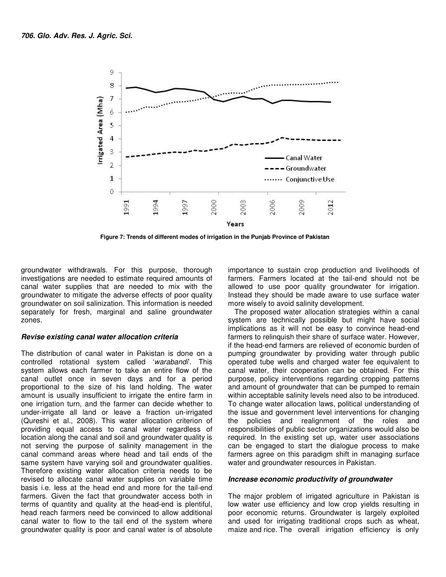

 **Figure 7: Trends of different modes of irrigation in the Punjab Province of Pakistan** 

groundwater withdrawals. For this purpose, thorough investigations are needed to estimate required amounts of canal water supplies that are needed to mix with the groundwater to mitigate the adverse effects of poor quality groundwater on soil salinization. This information is needed separately for fresh, marginal and saline groundwater zones.

### **Revise existing canal water allocation criteria**

The distribution of canal water in Pakistan is done on a controlled rotational system called 'warabandi'. This system allows each farmer to take an entire flow of the canal outlet once in seven days and for a period proportional to the size of his land holding. The water amount is usually insufficient to irrigate the entire farm in one irrigation turn, and the farmer can decide whether to under-irrigate all land or leave a fraction un-irrigated (Qureshi et al., 2008). This water allocation criterion of providing equal access to canal water regardless of location along the canal and soil and groundwater quality is not serving the purpose of salinity management in the canal command areas where head and tail ends of the same system have varying soil and groundwater qualities. Therefore existing water allocation criteria needs to be revised to allocate canal water supplies on variable time basis i.e. less at the head end and more for the tail-end farmers. Given the fact that groundwater access both in terms of quantity and quality at the head-end is plentiful, head reach farmers need be convinced to allow additional canal water to flow to the tail end of the system where groundwater quality is poor and canal water is of absolute importance to sustain crop production and livelihoods of farmers. Farmers located at the tail-end should not be allowed to use poor quality groundwater for irrigation. Instead they should be made aware to use surface water more wisely to avoid salinity development.

The proposed water allocation strategies within a canal system are technically possible but might have social implications as it will not be easy to convince head-end farmers to relinquish their share of surface water. However, if the head-end farmers are relieved of economic burden of pumping groundwater by providing water through public operated tube wells and charged water fee equivalent to canal water, their cooperation can be obtained. For this purpose, policy interventions regarding cropping patterns and amount of groundwater that can be pumped to remain within acceptable salinity levels need also to be introduced. To change water allocation laws, political understanding of the issue and government level interventions for changing the policies and realignment of the roles and responsibilities of public sector organizations would also be required. In the existing set up, water user associations can be engaged to start the dialogue process to make farmers agree on this paradigm shift in managing surface water and groundwater resources in Pakistan.

### **Increase economic productivity of groundwater**

The major problem of irrigated agriculture in Pakistan is low water use efficiency and low crop yields resulting in poor economic returns. Groundwater is largely exploited and used for irrigating traditional crops such as wheat, maize and rice. The overall irrigation efficiency is only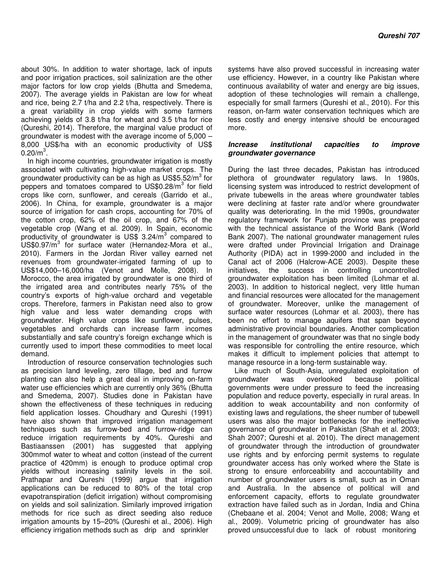about 30%. In addition to water shortage, lack of inputs and poor irrigation practices, soil salinization are the other major factors for low crop yields (Bhutta and Smedema, 2007). The average yields in Pakistan are low for wheat and rice, being 2.7 t/ha and 2.2 t/ha, respectively. There is a great variability in crop yields with some farmers achieving yields of 3.8 t/ha for wheat and 3.5 t/ha for rice (Qureshi, 2014). Therefore, the marginal value product of groundwater is modest with the average income of 5,000 – 8,000 US\$/ha with an economic productivity of US\$  $0.20/m^3$ .

In high income countries, groundwater irrigation is mostly associated with cultivating high-value market crops. The groundwater productivity can be as high as US\$5.52/m<sup>3</sup> for peppers and tomatoes compared to US\$0.28/m<sup>3</sup> for field crops like corn, sunflower, and cereals (Garrido et al., 2006). In China, for example, groundwater is a major source of irrigation for cash crops, accounting for 70% of the cotton crop, 62% of the oil crop, and 67% of the vegetable crop (Wang et al. 2009). In Spain, economic productivity of groundwater is US\$ 3.24/m<sup>3</sup> compared to US\$0.97/m<sup>3</sup> for surface water (Hernandez-Mora et al., 2010). Farmers in the Jordan River valley earned net revenues from groundwater-irrigated farming of up to US\$14,000–16,000/ha (Venot and Molle, 2008). In Morocco, the area irrigated by groundwater is one third of the irrigated area and contributes nearly 75% of the country's exports of high-value orchard and vegetable crops. Therefore, farmers in Pakistan need also to grow high value and less water demanding crops with groundwater. High value crops like sunflower, pulses, vegetables and orchards can increase farm incomes substantially and safe country's foreign exchange which is currently used to import these commodities to meet local demand.

Introduction of resource conservation technologies such as precision land leveling, zero tillage, bed and furrow planting can also help a great deal in improving on-farm water use efficiencies which are currently only 36% (Bhutta and Smedema, 2007). Studies done in Pakistan have shown the effectiveness of these techniques in reducing field application losses. Choudhary and Qureshi (1991) have also shown that improved irrigation management techniques such as furrow-bed and furrow-ridge can reduce irrigation requirements by 40%. Qureshi and Bastiaanssen (2001) has suggested that applying 300mmof water to wheat and cotton (instead of the current practice of 420mm) is enough to produce optimal crop yields without increasing salinity levels in the soil. Prathapar and Qureshi (1999) argue that irrigation applications can be reduced to 80% of the total crop evapotranspiration (deficit irrigation) without compromising on yields and soil salinization. Similarly improved irrigation methods for rice such as direct seeding also reduce irrigation amounts by 15–20% (Qureshi et al., 2006). High efficiency irrigation methods such as drip and sprinkler

systems have also proved successful in increasing water use efficiency. However, in a country like Pakistan where continuous availability of water and energy are big issues, adoption of these technologies will remain a challenge, especially for small farmers (Qureshi et al., 2010). For this reason, on-farm water conservation techniques which are less costly and energy intensive should be encouraged more.

### **Increase institutional capacities to improve groundwater governance**

During the last three decades, Pakistan has introduced plethora of groundwater regulatory laws. In 1980s, licensing system was introduced to restrict development of private tubewells in the areas where groundwater tables were declining at faster rate and/or where groundwater quality was deteriorating. In the mid 1990s, groundwater regulatory framework for Punjab province was prepared with the technical assistance of the World Bank (World Bank 2007). The national groundwater management rules were drafted under Provincial Irrigation and Drainage Authority (PIDA) act in 1999-2000 and included in the Canal act of 2006 (Halcrow-ACE 2003). Despite these initiatives, the success in controlling uncontrolled groundwater exploitation has been limited (Lohmar et al. 2003). In addition to historical neglect, very little human and financial resources were allocated for the management of groundwater. Moreover, unlike the management of surface water resources (Lohmar et al. 2003), there has been no effort to manage aquifers that span beyond administrative provincial boundaries. Another complication in the management of groundwater was that no single body was responsible for controlling the entire resource, which makes it difficult to implement policies that attempt to manage resource in a long-term sustainable way.

Like much of South-Asia, unregulated exploitation of groundwater was overlooked because political governments were under pressure to feed the increasing population and reduce poverty, especially in rural areas. In addition to weak accountability and non conformity of existing laws and regulations, the sheer number of tubewell users was also the major bottlenecks for the ineffective governance of groundwater in Pakistan (Shah et al. 2003; Shah 2007; Qureshi et al. 2010). The direct management of groundwater through the introduction of groundwater use rights and by enforcing permit systems to regulate groundwater access has only worked where the State is strong to ensure enforceability and accountability and number of groundwater users is small, such as in Oman and Australia. In the absence of political will and enforcement capacity, efforts to regulate groundwater extraction have failed such as in Jordan, India and China (Chebaane et al. 2004; Venot and Molle, 2008; Wang et al., 2009). Volumetric pricing of groundwater has also proved unsuccessful due to lack of robust monitoring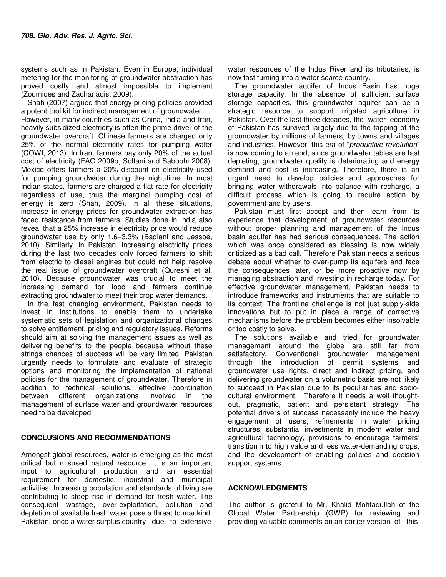systems such as in Pakistan. Even in Europe, individual metering for the monitoring of groundwater abstraction has proved costly and almost impossible to implement (Zoumides and Zachariadis, 2009).

Shah (2007) argued that energy pricing policies provided a potent tool kit for indirect management of groundwater. However, in many countries such as China, India and Iran, heavily subsidized electricity is often the prime driver of the groundwater overdraft. Chinese farmers are charged only 25% of the normal electricity rates for pumping water (COWI, 2013). In Iran, farmers pay only 20% of the actual cost of electricity (FAO 2009b; Soltani and Saboohi 2008). Mexico offers farmers a 20% discount on electricity used for pumping groundwater during the night-time. In most Indian states, farmers are charged a flat rate for electricity regardless of use, thus the marginal pumping cost of energy is zero (Shah, 2009). In all these situations, increase in energy prices for groundwater extraction has faced resistance from farmers. Studies done in India also reveal that a 25% increase in electricity price would reduce groundwater use by only 1.6–3.3% (Badiani and Jessoe, 2010). Similarly, in Pakistan, increasing electricity prices during the last two decades only forced farmers to shift from electric to diesel engines but could not help resolve the real issue of groundwater overdraft (Qureshi et al. 2010). Because groundwater was crucial to meet the increasing demand for food and farmers continue extracting groundwater to meet their crop water demands.

In the fast changing environment, Pakistan needs to invest in institutions to enable them to undertake systematic sets of legislation and organizational changes to solve entitlement, pricing and regulatory issues. Reforms should aim at solving the management issues as well as delivering benefits to the people because without these strings chances of success will be very limited. Pakistan urgently needs to formulate and evaluate of strategic options and monitoring the implementation of national policies for the management of groundwater. Therefore in addition to technical solutions, effective coordination between different organizations involved in the management of surface water and groundwater resources need to be developed.

## **CONCLUSIONS AND RECOMMENDATIONS**

Amongst global resources, water is emerging as the most critical but misused natural resource. It is an important input to agricultural production and an essential requirement for domestic, industrial and municipal activities. Increasing population and standards of living are contributing to steep rise in demand for fresh water. The consequent wastage, over-exploitation, pollution and depletion of available fresh water pose a threat to mankind. Pakistan, once a water surplus country due to extensive

water resources of the Indus River and its tributaries, is now fast turning into a water scarce country.

The groundwater aquifer of Indus Basin has huge storage capacity. In the absence of sufficient surface storage capacities, this groundwater aquifer can be a strategic resource to support irrigated agriculture in Pakistan. Over the last three decades, the water economy of Pakistan has survived largely due to the tapping of the groundwater by millions of farmers, by towns and villages and industries. However, this era of "productive revolution" is now coming to an end, since groundwater tables are fast depleting, groundwater quality is deteriorating and energy demand and cost is increasing. Therefore, there is an urgent need to develop policies and approaches for bringing water withdrawals into balance with recharge, a difficult process which is going to require action by government and by users.

Pakistan must first accept and then learn from its experience that development of groundwater resources without proper planning and management of the Indus basin aquifer has had serious consequences. The action which was once considered as blessing is now widely criticized as a bad call. Therefore Pakistan needs a serious debate about whether to over-pump its aquifers and face the consequences later, or be more proactive now by managing abstraction and investing in recharge today. For effective groundwater management, Pakistan needs to introduce frameworks and instruments that are suitable to its context. The frontline challenge is not just supply-side innovations but to put in place a range of corrective mechanisms before the problem becomes either insolvable or too costly to solve.

The solutions available and tried for groundwater management around the globe are still far from satisfactory. Conventional groundwater management through the introduction of permit systems and groundwater use rights, direct and indirect pricing, and delivering groundwater on a volumetric basis are not likely to succeed in Pakistan due to its peculiarities and sociocultural environment. Therefore it needs a well thoughtout, pragmatic, patient and persistent strategy. The potential drivers of success necessarily include the heavy engagement of users, refinements in water pricing structures, substantial investments in modern water and agricultural technology, provisions to encourage farmers' transition into high value and less water-demanding crops, and the development of enabling policies and decision support systems.

### **ACKNOWLEDGMENTS**

The author is grateful to Mr. Khalid Mohtadullah of the Global Water Partnership (GWP) for reviewing and providing valuable comments on an earlier version of this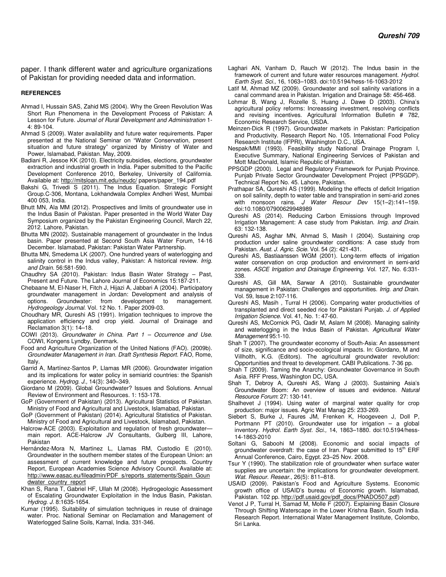paper. I thank different water and agriculture organizations of Pakistan for providing needed data and information.

#### **REFERENCES**

- Ahmad I, Hussain SAS, Zahid MS (2004). Why the Green Revolution Was Short Run Phenomena in the Development Process of Pakistan: A Lesson for Future. Journal of Rural Development and Administration 1- 4: 89-104.
- Ahmad S (2009). Water availability and future water requirements. Paper presented at the National Seminar on "Water Conservation, present situation and future strategy" organized by Ministry of Water and Power, Islamabad, Pakistan. May, 2009.
- Badiani R, Jessoe KK (2010). Electricity subsidies, elections, groundwater extraction and industrial growth in India. Paper submitted to the Pacific Development Conference 2010, Berkeley, University of California. Available at: http://mitsloan.mit.edu/neudc/ papers/paper\_194.pdf
- Bakshi G, Trivedi S (2011). The Indus Equation. Strategic Forsight Group.C-306, Montana, Lokhandwala Complex Andheri West, Mumbai 400 053, India.
- Bhutt MN, Ala MM (2012). Prospectives and limits of groundwater use in the Indus Basin of Pakistan. Paper presented in the World Water Day Symposium organized by the Pakistan Engineering Council, March 22, 2012. Lahore, Pakistan.
- Bhutta MN (2002). Sustainable management of groundwater in the Indus basin. Paper presented at Second South Asia Water Forum, 14-16 December. Islamabad, Pakistan: Pakistan Water Partnership.
- Bhutta MN, Smedema LK (2007). One hundred years of waterlogging and salinity control in the Indus valley, Pakistan: A historical review. Irrig. and Drain. 56:581-590.
- Chaudhry SA (2010). Pakistan: Indus Basin Water Strategy Past, Present and Future. The Lahore Journal of Economics 15:187-211.
- Chebaane M, El-Naser H, Fitch J, Hijazi A, Jabbari A (2004). Participatory groundwater management in Jordan: Development and analysis of options. Groundwater: from development to management. Hydrogeology Journal. Vol. 12 No. 1. Paper 2009-03.
- Choudhary MR, Qureshi AS (1991). Irrigation techniques to improve the application efficiency and crop yield. Journal of Drainage and Reclamation 3(1): 14–18.
- COWI (2013). Groundwater in China. Part 1 Occurrence and Use. COWI, Kongens Lyndby, Denmark.
- Food and Agriculture Organization of the United Nations (FAO). (2009b). Groundwater Management in Iran. Draft Synthesis Report. FAO, Rome, Italy.
- Garrid A, Martínez-Santos P, Llamas MR (2006). Groundwater irrigation and its implications for water policy in semiarid countries: the Spanish experience. Hydrog. J., 14(3): 340–349.
- Giordano M (2009). Global Groundwater? Issues and Solutions. Annual Review of Environment and Resources. 1: 153-178.
- GoP (Government of Pakistan) (2013). Agricultural Statistics of Pakistan. Ministry of Food and Agricultural and Livestock, Islamabad, Pakistan.
- GoP (Government of Pakistan) (2014). Agricultural Statistics of Pakistan. Ministry of Food and Agricultural and Livestock, Islamabad, Pakistan.
- Halcrow-ACE (2003). Exploitation and regulation of fresh groundwater main report. ACE-Halcrow JV Consultants, Gulberg III, Lahore, Pakistan
- Hernández-Mora N, Martinez L, Llamas RM, Custodio E (2010). Groundwater in the southern member states of the European Union: an assessment of current knowledge and future prospects. Country Report, European Academies Science Advisory Council. Available at: http://www.easac.eu/fileadmin/PDF\_s/reports\_statements/Spain\_Goun dwater\_country\_report
- Khan S, Rana T, Gabriel HF, Ullah M (2008). Hydrogeologic Assessment of Escalating Groundwater Exploitation in the Indus Basin, Pakistan. Hydrog. J. 8:1635-1654.
- Kumar (1995). Suitability of simulation techniques in reuse of drainage water. Proc. National Seminar on Reclamation and Management of Waterlogged Saline Soils, Karnal, India. 331-346.
- Laghari AN, Vanham D, Rauch W (2012). The Indus basin in the framework of current and future water resources management. Hydrol. Earth Syst. Sci., 16, 1063–1083. doi:10.5194/hess-16-1063-2012
- Latif M, Ahmad MZ (2009). Groundwater and soil salinity variations in a canal command area in Pakistan. Irrigation and Drainage 58: 456-468.
- Lohmar B, Wang J, Rozelle S, Huang J. Dawe D (2003). China's agricultural policy reforms: Increassing investment, resolving conflicts and revising incentives. Agricultural Information Bulletin # 782, Economic Research Service, USDA.
- Meinzen-Dick R (1997). Groundwater markets in Pakistan: Participation and Productivity. Research Report No. 105. International Food Policy Research Institute (IFPRI), Washington D.C., USA.
- Nespak/MMI (1993). Feasibility study National Drainage Program I, Executive Summary, National Engineering Services of Pakistan and Mott MacDonald, Islamic Republic of Pakistan.
- PPSGDP (2000). Legal and Regulatory Framework for Punjab Province. Punjab Private Sector Groundwater Development Project (PPSGDP). Technical Report No. 45. Lahore, Pakistan.
- Prathapar SA, Qureshi AS (1999). Modeling the effects of deficit Irrigation on soil salinity, depth to water table and transpiration in semi-arid zones with monsoon rains. J Water Resour Dev 15(1–2):141–159. doi:10.1080/07900629948989
- Qureshi AS (2014). Reducing Carbon Emissions through Improved Irrigation Management: A case study from Pakistan. Irrig. and Drain. 63: 132-138.
- Qureshi AS, Asghar MN, Ahmad S, Masih I (2004). Sustaining crop production under saline groundwater conditions: A case study from Pakistan. Aust. J. Agric. Scie. Vol. 54 (2): 421-431.
- Qureshi AS, Bastiaanssen WGM (2001). Long-term effects of irrigation water conservation on crop production and environment in semi-arid zones. ASCE Irrigation and Drainage Engineering. Vol. 127, No. 6:331- 338.
- Qureshi AS, Gill MA, Sarwar A (2010). Sustainable groundwater management in Pakistan: Challenges and opportunities. Irrig. and Drain. Vol. 59, Issue 2:107-116.
- Qureshi AS, Masih , Turral H (2006). Comparing water productivities of transplanted and direct seeded rice for Pakistani Punjab. J. of Applied Irrigation Science. Vol. 41, No. 1: 47-60.
- Qureshi AS, McCornick PG, Qadir M, Aslam M (2008). Managing salinity and waterlogging in the Indus Basin of Pakistan. Agricultural Water Management 95:1-10.
- Shah T (2007). The groundwater economy of South-Asia: An assessment of size, significance and socio-ecological impacts. In: Giordano, M and Villholth, K.G. (Editors). The agricultural groundwater revolution: Opportunities and threat to development. CABI Publications. 7-36 pp.
- Shah T (2009). Taming the Anarchy: Groundwater Governance in South Asia. RFF Press, Washington DC, USA.
- Shah T, Debroy A, Qureshi AS, Wang J (2003). Sustaining Asia's Groundwater Boom: An overview of issues and evidence. Natural Resource Forum: 27: 130-141.
- Shalhevet J (1994). Using water of marginal water quality for crop production: major issues. Agric Wat Manag 25: 233-269.
- Siebert S, Burke J, Faures JM, Frenken K, Hoogeveen J, Doll P, Portmann PT (2010). Groundwater use for irrigation – a global inventory. Hydrol. Earth Syst. Sci., 14, 1863–1880. doi:10.5194/hess-14-1863-2010
- Soltani G, Saboohi M (2008). Economic and social impacts of groundwater overdraft: the case of Iran. Paper submitted to 15<sup>th</sup> ERF Annual Conference, Cairo, Egypt. 23–25 Nov. 2008.
- Tsur Y (1990). The stabilization role of groundwater when surface water supplies are uncertain: the implications for groundwater development. Wat. Resour. Resear., 26(5): 811–818.
- USAID (2009). Pakistan's Food and Agriculture Systems. Economic growth office of USAID's bureau of Economic growth. Islamabad, Pakistan. 102 pp. http://pdf.usaid.gov/pdf\_docs/PNADO507.pdf)
- Venot J P, Turral H, Samad M, Molle F (2007). Explaining Basin Closure Through Shifting Waterscape in the Lower Krishna Basin, South India. Research Report. International Water Management Institute, Colombo, Sri Lanka.